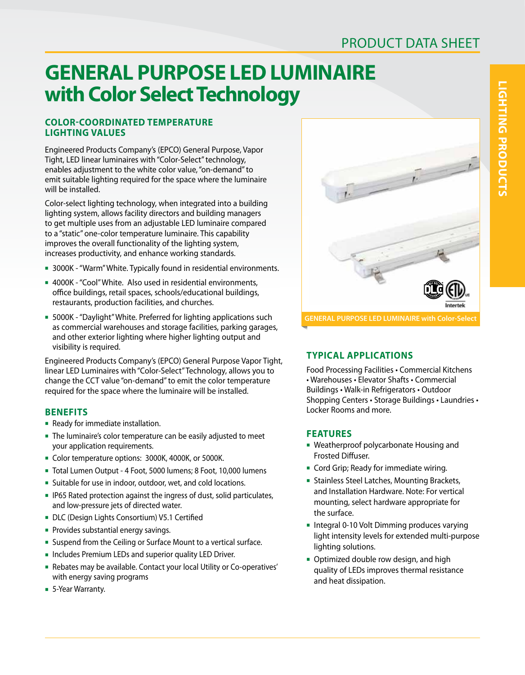# **GENERAL PURPOSE LED LUMINAIRE with Color Select Technology**

### **COLOR-COORDINATED TEMPERATURE LIGHTING VALUES**

Engineered Products Company's (EPCO) General Purpose, Vapor Tight, LED linear luminaires with "Color-Select" technology, enables adjustment to the white color value, "on-demand" to emit suitable lighting required for the space where the luminaire will be installed.

Color-select lighting technology, when integrated into a building lighting system, allows facility directors and building managers to get multiple uses from an adjustable LED luminaire compared to a "static" one-color temperature luminaire. This capability improves the overall functionality of the lighting system, increases productivity, and enhance working standards.

- 3000K "Warm" White. Typically found in residential environments.
- 4000K "Cool" White. Also used in residential environments, office buildings, retail spaces, schools/educational buildings, restaurants, production facilities, and churches.
- **5000K** "Daylight" White. Preferred for lighting applications such as commercial warehouses and storage facilities, parking garages, and other exterior lighting where higher lighting output and visibility is required.

Engineered Products Company's (EPCO) General Purpose Vapor Tight, linear LED Luminaires with "Color-Select" Technology, allows you to change the CCT value "on-demand" to emit the color temperature required for the space where the luminaire will be installed.

# **BENEFITS**

- **-** Ready for immediate installation.
- <sup>n</sup> The luminaire's color temperature can be easily adjusted to meet your application requirements.
- Color temperature options: 3000K, 4000K, or 5000K.
- Total Lumen Output 4 Foot, 5000 lumens; 8 Foot, 10,000 lumens
- **EXTERGH** Suitable for use in indoor, outdoor, wet, and cold locations.
- **IP65 Rated protection against the ingress of dust, solid particulates,** and low-pressure jets of directed water.
- DLC (Design Lights Consortium) V5.1 Certified
- **Provides substantial energy savings.**
- Suspend from the Ceiling or Surface Mount to a vertical surface.
- n Includes Premium LEDs and superior quality LED Driver.
- <sup>n</sup> Rebates may be available. Contact your local Utility or Co-operatives' with energy saving programs
- 5-Year Warranty.



#### **GENERAL PURPOSE LED LUMINAIRE with Color-Select**

# **TYPICAL APPLICATIONS**

Food Processing Facilities • Commercial Kitchens • Warehouses • Elevator Shafts • Commercial Buildings • Walk-in Refrigerators • Outdoor Shopping Centers • Storage Buildings • Laundries • Locker Rooms and more.

#### **FEATURES**

- **Weatherproof polycarbonate Housing and** Frosted Diffuser.
- **Cord Grip; Ready for immediate wiring.**
- **Exampless Steel Latches, Mounting Brackets,** and Installation Hardware. Note: For vertical mounting, select hardware appropriate for the surface.
- **n** Integral 0-10 Volt Dimming produces varying light intensity levels for extended multi-purpose lighting solutions.
- Optimized double row design, and high quality of LEDs improves thermal resistance and heat dissipation.